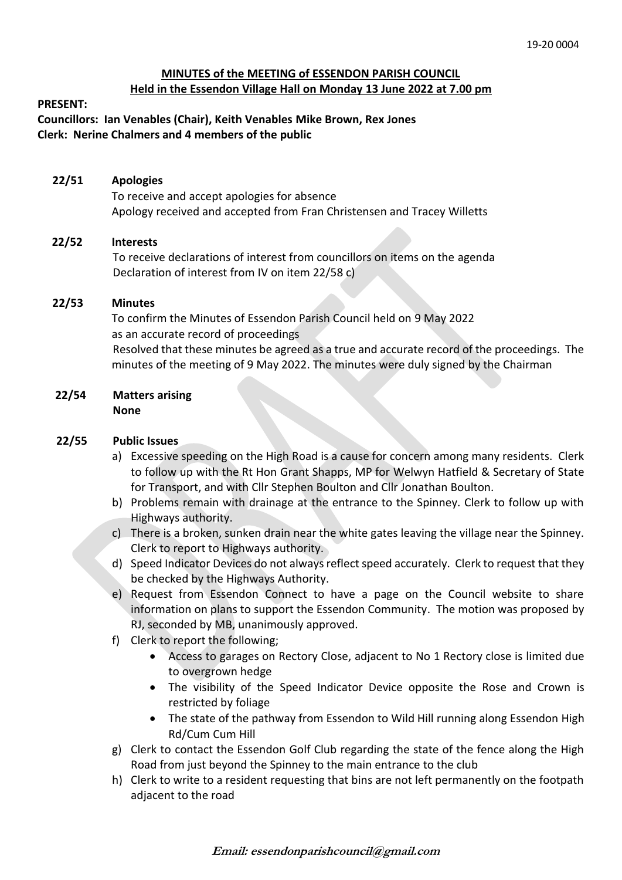# **MINUTES of the MEETING of ESSENDON PARISH COUNCIL Held in the Essendon Village Hall on Monday 13 June 2022 at 7.00 pm**

#### **PRESENT:**

**Councillors: Ian Venables (Chair), Keith Venables Mike Brown, Rex Jones Clerk: Nerine Chalmers and 4 members of the public**

## **22/51 Apologies**

To receive and accept apologies for absence Apology received and accepted from Fran Christensen and Tracey Willetts

## **22/52 Interests**

To receive declarations of interest from councillors on items on the agenda Declaration of interest from IV on item 22/58 c)

## **22/53 Minutes**

 To confirm the Minutes of Essendon Parish Council held on 9 May 2022 as an accurate record of proceedings Resolved that these minutes be agreed as a true and accurate record of the proceedings. The minutes of the meeting of 9 May 2022. The minutes were duly signed by the Chairman

#### **22/54 Matters arising None**

## **22/55 Public Issues**

- a) Excessive speeding on the High Road is a cause for concern among many residents. Clerk to follow up with the Rt Hon Grant Shapps, MP for Welwyn Hatfield & Secretary of State for Transport, and with Cllr Stephen Boulton and Cllr Jonathan Boulton.
- b) Problems remain with drainage at the entrance to the Spinney. Clerk to follow up with Highways authority.
- c) There is a broken, sunken drain near the white gates leaving the village near the Spinney. Clerk to report to Highways authority.
- d) Speed Indicator Devices do not always reflect speed accurately. Clerk to request that they be checked by the Highways Authority.
- e) Request from Essendon Connect to have a page on the Council website to share information on plans to support the Essendon Community. The motion was proposed by RJ, seconded by MB, unanimously approved.
- f) Clerk to report the following;
	- Access to garages on Rectory Close, adjacent to No 1 Rectory close is limited due to overgrown hedge
	- The visibility of the Speed Indicator Device opposite the Rose and Crown is restricted by foliage
	- The state of the pathway from Essendon to Wild Hill running along Essendon High Rd/Cum Cum Hill
- g) Clerk to contact the Essendon Golf Club regarding the state of the fence along the High Road from just beyond the Spinney to the main entrance to the club
- h) Clerk to write to a resident requesting that bins are not left permanently on the footpath adjacent to the road

**Email: essendonparishcouncil@gmail.com**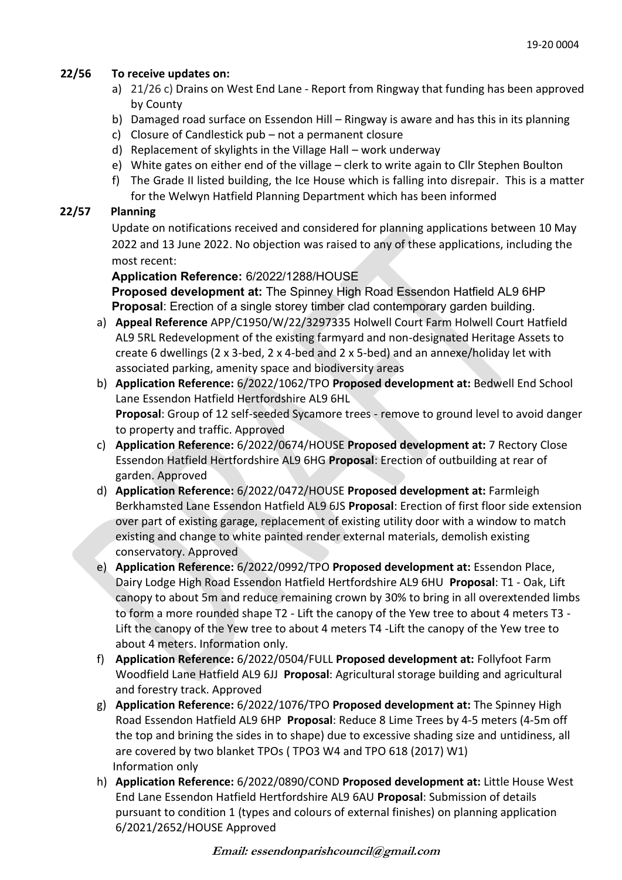# **22/56 To receive updates on:**

- a) 21/26 c) Drains on West End Lane Report from Ringway that funding has been approved by County
- b) Damaged road surface on Essendon Hill Ringway is aware and has this in its planning
- c) Closure of Candlestick pub not a permanent closure
- d) Replacement of skylights in the Village Hall work underway
- e) White gates on either end of the village clerk to write again to Cllr Stephen Boulton
- f) The Grade II listed building, the Ice House which is falling into disrepair. This is a matter for the Welwyn Hatfield Planning Department which has been informed

# **22/57 Planning**

Update on notifications received and considered for planning applications between 10 May 2022 and 13 June 2022. No objection was raised to any of these applications, including the most recent:

## **Application Reference:** 6/2022/1288/HOUSE

**Proposed development at:** The Spinney High Road Essendon Hatfield AL9 6HP **Proposal**: Erection of a single storey timber clad contemporary garden building.

- a) **Appeal Reference** APP/C1950/W/22/3297335 Holwell Court Farm Holwell Court Hatfield AL9 5RL Redevelopment of the existing farmyard and non-designated Heritage Assets to create 6 dwellings (2 x 3-bed, 2 x 4-bed and 2 x 5-bed) and an annexe/holiday let with associated parking, amenity space and biodiversity areas
- b) **Application Reference:** 6/2022/1062/TPO **Proposed development at:** Bedwell End School Lane Essendon Hatfield Hertfordshire AL9 6HL **Proposal**: Group of 12 self-seeded Sycamore trees - remove to ground level to avoid danger to property and traffic. Approved
- c) **Application Reference:** 6/2022/0674/HOUSE **Proposed development at:** 7 Rectory Close Essendon Hatfield Hertfordshire AL9 6HG **Proposal**: Erection of outbuilding at rear of garden. Approved
- d) **Application Reference:** 6/2022/0472/HOUSE **Proposed development at:** Farmleigh Berkhamsted Lane Essendon Hatfield AL9 6JS **Proposal**: Erection of first floor side extension over part of existing garage, replacement of existing utility door with a window to match existing and change to white painted render external materials, demolish existing conservatory. Approved
- e) **Application Reference:** 6/2022/0992/TPO **Proposed development at:** Essendon Place, Dairy Lodge High Road Essendon Hatfield Hertfordshire AL9 6HU **Proposal**: T1 - Oak, Lift canopy to about 5m and reduce remaining crown by 30% to bring in all overextended limbs to form a more rounded shape T2 - Lift the canopy of the Yew tree to about 4 meters T3 - Lift the canopy of the Yew tree to about 4 meters T4 -Lift the canopy of the Yew tree to about 4 meters. Information only.
- f) **Application Reference:** 6/2022/0504/FULL **Proposed development at:** Follyfoot Farm Woodfield Lane Hatfield AL9 6JJ **Proposal**: Agricultural storage building and agricultural and forestry track. Approved
- g) **Application Reference:** 6/2022/1076/TPO **Proposed development at:** The Spinney High Road Essendon Hatfield AL9 6HP **Proposal**: Reduce 8 Lime Trees by 4-5 meters (4-5m off the top and brining the sides in to shape) due to excessive shading size and untidiness, all are covered by two blanket TPOs ( TPO3 W4 and TPO 618 (2017) W1) Information only
- h) **Application Reference:** 6/2022/0890/COND **Proposed development at:** Little House West End Lane Essendon Hatfield Hertfordshire AL9 6AU **Proposal**: Submission of details pursuant to condition 1 (types and colours of external finishes) on planning application 6/2021/2652/HOUSE Approved

**Email: essendonparishcouncil@gmail.com**